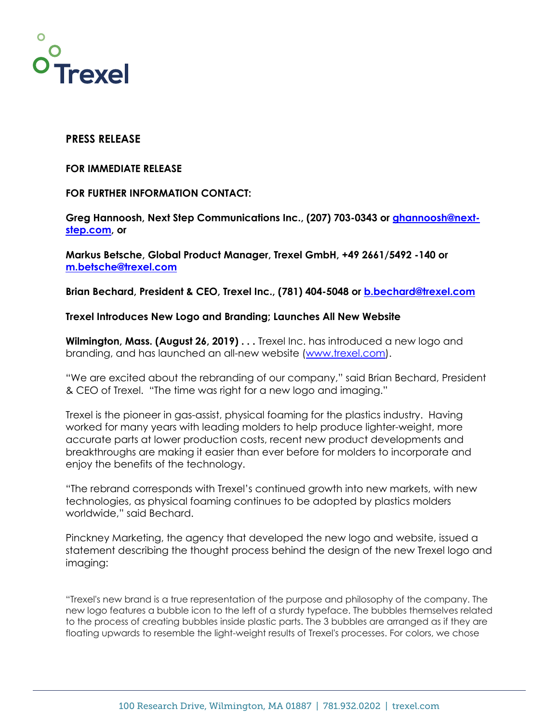

## **PRESS RELEASE**

#### **FOR IMMEDIATE RELEASE**

### **FOR FURTHER INFORMATION CONTACT:**

**Greg Hannoosh, Next Step Communications Inc., (207) 703-0343 or ghannoosh@nextstep.com, or** 

**Markus Betsche, Global Product Manager, Trexel GmbH, +49 2661/5492 -140 or m.betsche@trexel.com**

**Brian Bechard, President & CEO, Trexel Inc., (781) 404-5048 or b.bechard@trexel.com**

#### **Trexel Introduces New Logo and Branding; Launches All New Website**

**Wilmington, Mass. (August 26, 2019) . . .** Trexel Inc. has introduced a new logo and branding, and has launched an all-new website (www.trexel.com).

"We are excited about the rebranding of our company," said Brian Bechard, President & CEO of Trexel. "The time was right for a new logo and imaging."

Trexel is the pioneer in gas-assist, physical foaming for the plastics industry. Having worked for many years with leading molders to help produce lighter-weight, more accurate parts at lower production costs, recent new product developments and breakthroughs are making it easier than ever before for molders to incorporate and enjoy the benefits of the technology.

"The rebrand corresponds with Trexel's continued growth into new markets, with new technologies, as physical foaming continues to be adopted by plastics molders worldwide," said Bechard.

Pinckney Marketing, the agency that developed the new logo and website, issued a statement describing the thought process behind the design of the new Trexel logo and imaging:

"Trexel's new brand is a true representation of the purpose and philosophy of the company. The new logo features a bubble icon to the left of a sturdy typeface. The bubbles themselves related to the process of creating bubbles inside plastic parts. The 3 bubbles are arranged as if they are floating upwards to resemble the light-weight results of Trexel's processes. For colors, we chose